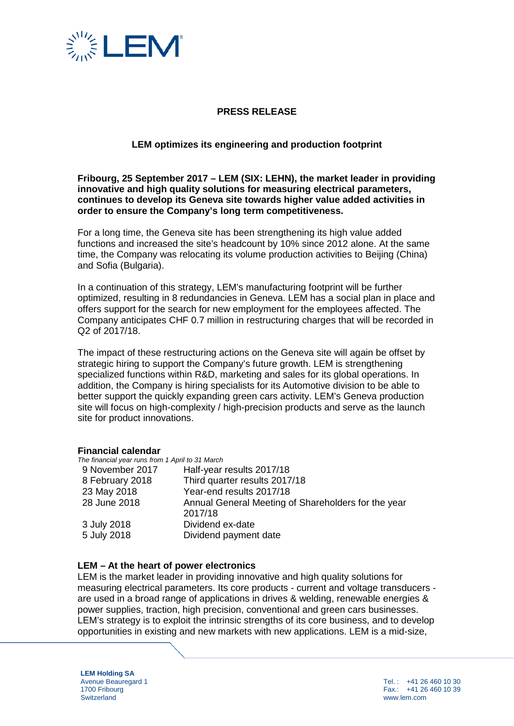

# **PRESS RELEASE**

### **LEM optimizes its engineering and production footprint**

#### **Fribourg, 25 September 2017 – LEM (SIX: LEHN), the market leader in providing innovative and high quality solutions for measuring electrical parameters, continues to develop its Geneva site towards higher value added activities in order to ensure the Company's long term competitiveness.**

For a long time, the Geneva site has been strengthening its high value added functions and increased the site's headcount by 10% since 2012 alone. At the same time, the Company was relocating its volume production activities to Beijing (China) and Sofia (Bulgaria).

In a continuation of this strategy, LEM's manufacturing footprint will be further optimized, resulting in 8 redundancies in Geneva. LEM has a social plan in place and offers support for the search for new employment for the employees affected. The Company anticipates CHF 0.7 million in restructuring charges that will be recorded in Q2 of 2017/18.

The impact of these restructuring actions on the Geneva site will again be offset by strategic hiring to support the Company's future growth. LEM is strengthening specialized functions within R&D, marketing and sales for its global operations. In addition, the Company is hiring specialists for its Automotive division to be able to better support the quickly expanding green cars activity. LEM's Geneva production site will focus on high-complexity / high-precision products and serve as the launch site for product innovations.

#### **Financial calendar**

*The financial year runs from 1 April to 31 March*

| 9 November 2017 | Half-year results 2017/18                                      |
|-----------------|----------------------------------------------------------------|
| 8 February 2018 | Third quarter results 2017/18                                  |
| 23 May 2018     | Year-end results 2017/18                                       |
| 28 June 2018    | Annual General Meeting of Shareholders for the year<br>2017/18 |
| 3 July 2018     | Dividend ex-date                                               |
| 5 July 2018     | Dividend payment date                                          |

#### **LEM – At the heart of power electronics**

LEM is the market leader in providing innovative and high quality solutions for measuring electrical parameters. Its core products - current and voltage transducers are used in a broad range of applications in drives & welding, renewable energies & power supplies, traction, high precision, conventional and green cars businesses. LEM's strategy is to exploit the intrinsic strengths of its core business, and to develop opportunities in existing and new markets with new applications. LEM is a mid-size,

**LEM Holding SA** Avenue Beauregard 1 1700 Fribourg **Switzerland** 

Tel. : +41 26 460 10 30 Fax.: +41 26 460 10 39 www.lem.com